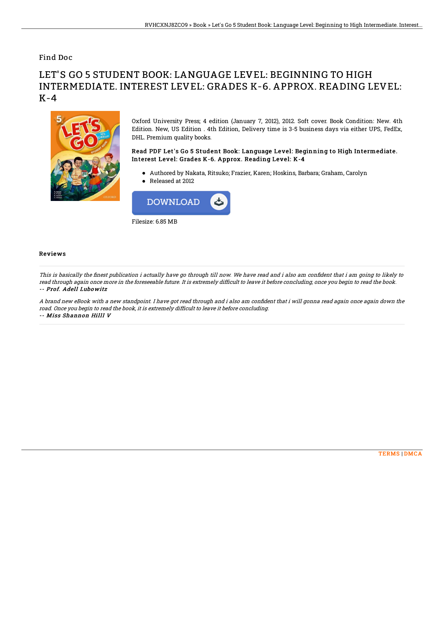### Find Doc

# LET'S GO 5 STUDENT BOOK: LANGUAGE LEVEL: BEGINNING TO HIGH INTERMEDIATE. INTEREST LEVEL: GRADES K-6. APPROX. READING LEVEL: K-4



Oxford University Press; 4 edition (January 7, 2012), 2012. Soft cover. Book Condition: New. 4th Edition. New, US Edition . 4th Edition, Delivery time is 3-5 business days via either UPS, FedEx, DHL. Premium quality books.

#### Read PDF Let's Go 5 Student Book: Language Level: Beginning to High Intermediate. Interest Level: Grades K-6. Approx. Reading Level: K-4

Authored by Nakata, Ritsuko; Frazier, Karen; Hoskins, Barbara; Graham, Carolyn Released at 2012



#### Reviews

This is basically the finest publication i actually have go through till now. We have read and i also am confident that i am going to likely to read through again once more in the foreseeable future. It is extremely difficult to leave it before concluding, once you begin to read the book. -- Prof. Adell Lubowitz

A brand new eBook with a new standpoint. I have got read through and i also am confident that i will gonna read again once again down the road. Once you begin to read the book, it is extremely difficult to leave it before concluding. -- Miss Shannon Hilll V